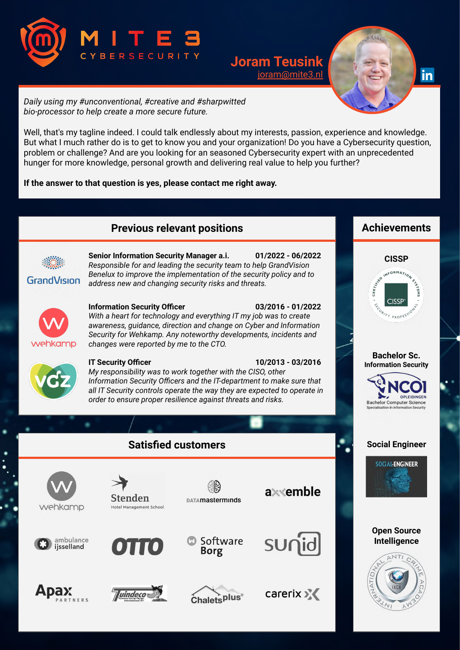

## [joram@mite3.nl](mailto:joram@mite3.nl) **Joram Teusink**



*Daily using my #unconventional, #creative and #sharpwitted bio-processor to help create a more secure future.*

Well, that's my tagline indeed. I could talk endlessly about my interests, passion, experience and knowledge. But what I much rather do is to get to know you and your organization! Do you have a Cybersecurity question, problem or challenge? And are you looking for an seasoned Cybersecurity expert with an unprecedented hunger for more knowledge, personal growth and delivering real value to help you further?

**If the answer to that question is yes, please contact me right away.**